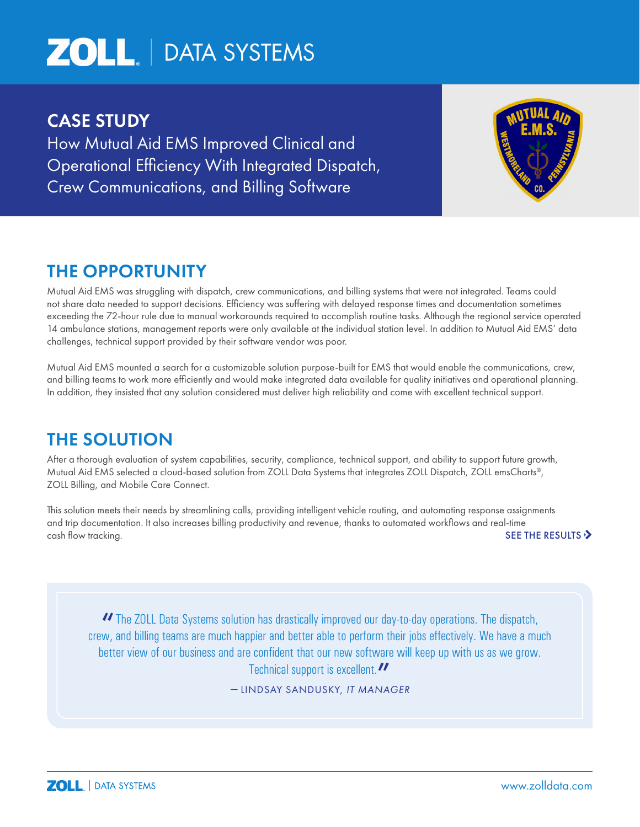# **ZOLL** | DATA SYSTEMS

### CASE STUDY

How Mutual Aid EMS Improved Clinical and Operational Efficiency With Integrated Dispatch, Crew Communications, and Billing Software



## THE OPPORTUNITY

Mutual Aid EMS was struggling with dispatch, crew communications, and billing systems that were not integrated. Teams could not share data needed to support decisions. Efficiency was suffering with delayed response times and documentation sometimes exceeding the 72-hour rule due to manual workarounds required to accomplish routine tasks. Although the regional service operated 14 ambulance stations, management reports were only available at the individual station level. In addition to Mutual Aid EMS' data challenges, technical support provided by their software vendor was poor.

Mutual Aid EMS mounted a search for a customizable solution purpose-built for EMS that would enable the communications, crew, and billing teams to work more efficiently and would make integrated data available for quality initiatives and operational planning. In addition, they insisted that any solution considered must deliver high reliability and come with excellent technical support.

## THE SOLUTION

After a thorough evaluation of system capabilities, security, compliance, technical support, and ability to support future growth, Mutual Aid EMS selected a cloud-based solution from ZOLL Data Systems that integrates ZOLL Dispatch, ZOLL emsCharts®, ZOLL Billing, and Mobile Care Connect.

This solution meets their needs by streamlining calls, providing intelligent vehicle routing, and automating response assignments and trip documentation. It also increases billing productivity and revenue, thanks to automated workflows and real-time cash flow tracking. SEE THE RESULTS

"The ZOLL Data Systems solution has drastically improved our day-to-day operations. The dispatch, crew, and billing teams are much happier and better able to perform their jobs effectively. We have a much better view of our business and are confident that our new software will keep up with us as we grow. Technical support is excellent." — LINDSAY SANDUSKY, *IT MANAGER*